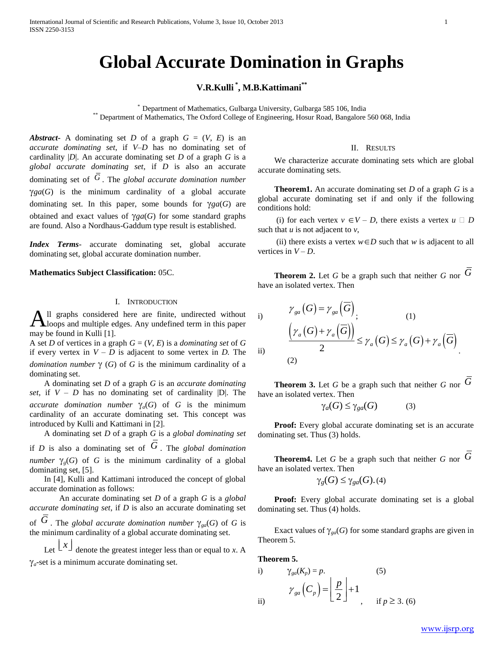# **Global Accurate Domination in Graphs**

## **V.R.Kulli \* , M.B.Kattimani\*\***

\* Department of Mathematics, Gulbarga University, Gulbarga 585 106, India \*\* Department of Mathematics, The Oxford College of Engineering, Hosur Road, Bangalore 560 068, India

*Abstract***-** A dominating set *D* of a graph  $G = (V, E)$  is an *accurate dominating set*, if *V–D* has no dominating set of cardinality |*D*|. An accurate dominating set *D* of a graph *G* is a *global accurate dominating set*, if *D* is also an accurate dominating set of *G* . The *global accurate domination number*  $\gamma$ ga(*G*) is the minimum cardinality of a global accurate dominating set. In this paper, some bounds for  $\gamma ga(G)$  are obtained and exact values of  $\gamma ga(G)$  for some standard graphs are found. Also a Nordhaus-Gaddum type result is established.

*Index Terms*- accurate dominating set, global accurate dominating set, global accurate domination number.

**Mathematics Subject Classification:** 05C.

### I. INTRODUCTION

ll graphs considered here are finite, undirected without  $\mathbf{A}$ ll graphs considered here are finite, undirected without loops and multiple edges. Any undefined term in this paper may be found in Kulli [1].

A set *D* of vertices in a graph  $G = (V, E)$  is a *dominating set* of *G* if every vertex in  $V - D$  is adjacent to some vertex in *D*. The *domination number*  $\gamma$  (*G*) of *G* is the minimum cardinality of a dominating set.

 A dominating set *D* of a graph *G* is an *accurate dominating set*, if  $V - D$  has no dominating set of cardinality  $|D|$ . The *accurate domination number*  $\gamma_a(G)$  of *G* is the minimum cardinality of an accurate dominating set. This concept was introduced by Kulli and Kattimani in [2].

 A dominating set *D* of a graph *G* is a *global dominating set* if *D* is also a dominating set of *G* . The *global domination number*  $\gamma_o(G)$  of *G* is the minimum cardinality of a global dominating set, [5].

 In [4], Kulli and Kattimani introduced the concept of global accurate domination as follows:

An accurate dominating set *D* of a graph *G* is a *global accurate dominating set*, if *D* is also an accurate dominating set of  $G$ . The *global accurate domination number*  $\gamma_{ga}(G)$  of  $G$  is the minimum cardinality of a global accurate dominating set.

Let  $\lfloor x \rfloor$  denote the greatest integer less than or equal to *x*. A  $\gamma_a$ -set is a minimum accurate dominating set.

#### II. RESULTS

 We characterize accurate dominating sets which are global accurate dominating sets.

 **Theorem1.** An accurate dominating set *D* of a graph *G* is a global accurate dominating set if and only if the following conditions hold:

(i) for each vertex  $v \in V - D$ , there exists a vertex  $u \square D$ such that  $u$  is not adjacent to  $v$ ,

(ii) there exists a vertex  $w \in D$  such that *w* is adjacent to all vertices in  $V - D$ .

 **Theorem 2.** Let *G* be a graph such that neither *G* nor *G* have an isolated vertex. Then

i) 
$$
\gamma_{ga}(G) = \gamma_{ga}(\overline{G})
$$
  
\n
$$
\frac{(\gamma_a(G) + \gamma_a(\overline{G}))}{2} \le \gamma_a(G) \le \gamma_a(G) + \gamma_a(\overline{G})
$$
  
\n(ii) (2)

 **Theorem 3.** Let *G* be a graph such that neither *G* nor *G* have an isolated vertex. Then

$$
\gamma_a(G) \le \gamma_{ga}(G) \tag{3}
$$

 **Proof:** Every global accurate dominating set is an accurate dominating set. Thus (3) holds.

 **Theorem4.** Let *G* be a graph such that neither *G* nor *G* have an isolated vertex. Then

$$
\gamma_g(G) \leq \gamma_{ga}(G). (4)
$$

 **Proof:** Every global accurate dominating set is a global dominating set. Thus (4) holds.

Exact values of  $\gamma_{ga}(G)$  for some standard graphs are given in Theorem 5.

**Theorem 5.**

i) 
$$
\gamma_{ga}(K_p) = p.
$$
 (5)  
\n
$$
\gamma_{ga}\left(C_p\right) = \left\lfloor \frac{p}{2} \right\rfloor + 1, \quad \text{if } p \ge 3. (6)
$$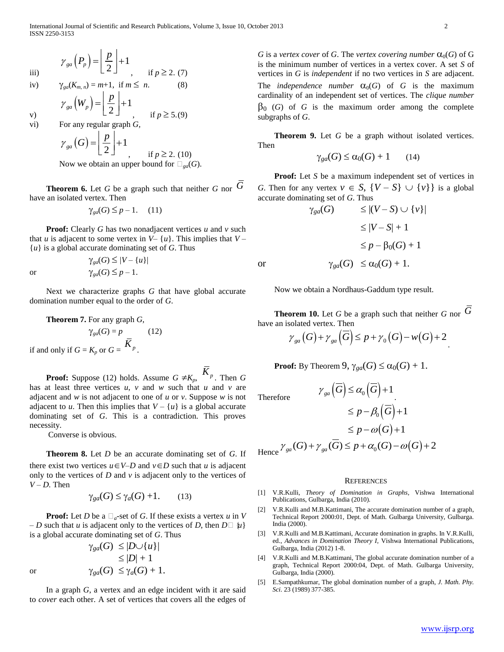$$
\gamma_{ga}\left(P_p\right) = \left[\frac{p}{2}\right] + 1, \quad \text{if } p \ge 2. (7)
$$

iv) 
$$
\gamma_{ga}(K_{m,n}) = m+1
$$
, if  $m \leq n$ . (8)

$$
\gamma_{ga}\left(W_{p}\right) = \left\lfloor \frac{p}{2} \right\rfloor + 1, \quad \text{if } p \ge 5.9
$$

vi) For any regular graph *G,*

v)

$$
\gamma_{ga}(G) = \left[ \frac{p}{2} \right] + 1
$$
  
\nNow we obtain an upper bound for  $\Box_{ga}(G)$ .

 **Theorem 6.** Let *G* be a graph such that neither *G* nor *G* have an isolated vertex. Then

$$
\gamma_{ga}(G) \le p - 1. \quad (11)
$$

 **Proof:** Clearly *G* has two nonadjacent vertices *u* and *v* such that *u* is adjacent to some vertex in  $V - \{u\}$ . This implies that  $V - \{u\}$ {*u*} is a global accurate dominating set of *G*. Thus

 $\gamma_{\text{ga}}(G) \leq |V - \{u\}|$ or  $\gamma_{\text{ga}}(G) \leq p-1$ .

 Next we characterize graphs *G* that have global accurate domination number equal to the order of *G*.

**Theorem 7.** For any graph 
$$
G
$$
,

 $\gamma_{\mathfrak{so}}(G) = p$  (12) if and only if  $G = K_p$  or  $G = \frac{K_p}{\sqrt{2\pi}}$ .

**Proof:** Suppose (12) holds. Assume  $G \neq K_p$ ,  $\overline{K}_p$ . Then  $G$ has at least three vertices *u*, *v* and *w* such that *u* and *v* are adjacent and *w* is not adjacent to one of *u* or *v*. Suppose *w* is not adjacent to *u*. Then this implies that  $V - \{u\}$  is a global accurate dominating set of *G*. This is a contradiction. This proves necessity.

Converse is obvious.

 **Theorem 8.** Let *D* be an accurate dominating set of *G*. If there exist two vertices  $u \in V-D$  and  $v \in D$  such that *u* is adjacent only to the vertices of  $D$  and  $\nu$  is adjacent only to the vertices of *V – D.* Then

$$
\gamma_{ga}(G) \le \gamma_a(G) + 1. \tag{13}
$$

**Proof:** Let *D* be a  $\Box_a$ -set of *G*. If these exists a vertex *u* in *V – D* such that *u* is adjacent only to the vertices of *D*, then  $D \square \{u\}$ is a global accurate dominating set of *G*. Thus

$$
\gamma_{ga}(G) \leq |D \cup \{u\}|
$$
  
\n
$$
\leq |D| + 1
$$
  
\nor  
\n
$$
\gamma_{ga}(G) \leq \gamma_a(G) + 1.
$$

 In a graph *G*, a vertex and an edge incident with it are said to *cover* each other. A set of vertices that covers all the edges of *G* is a *vertex cover* of *G*. The *vertex covering number*  $\alpha_0(G)$  of G is the minimum number of vertices in a vertex cover. A set *S* of vertices in *G* is *independent* if no two vertices in *S* are adjacent. The *independence number*  $\alpha_0(G)$  of *G* is the maximum cardinality of an independent set of vertices. The *clique number*  $\beta_0$  (*G*) of *G* is the maximum order among the complete subgraphs of *G*.

 **Theorem 9.** Let *G* be a graph without isolated vertices. Then

$$
\gamma_{ga}(G) \le \alpha_0(G) + 1 \qquad (14)
$$

 **Proof:** Let *S* be a maximum independent set of vertices in *G*. Then for any vertex  $v \in S$ ,  $\{V - S\} \cup \{v\}$  is a global accurate dominating set of *G*. Thus

$$
\gamma_{ga}(G) \leq |(V - S) \cup \{v\}|
$$
  
\n
$$
\leq |V - S| + 1
$$
  
\n
$$
\leq p - \beta_0(G) + 1
$$
  
\nor  
\n
$$
\gamma_{ga}(G) \leq \alpha_0(G) + 1.
$$

Now we obtain a Nordhaus-Gaddum type result.

 **Theorem 10.** Let *G* be a graph such that neither *G* nor *G* have an isolated vertex. Then

solated vertex. Then  
\n
$$
\gamma_{ga}(G) + \gamma_{ga}(\overline{G}) \leq p + \gamma_0(G) - w(G) + 2
$$

**Proof:** By Theorem  $9$ ,  $\gamma_{ga}(G) \leq \alpha_0(G) + 1$ .

 $\gamma_{\scriptscriptstyle{\text{sga}}}(\overline{G}) \leq \alpha_{\scriptscriptstyle{\text{o}}}(\overline{G})+1$ 

T<sub>h</sub>

Therefore  
\n
$$
\leq p - \beta_0(\overline{G}) + 1
$$
\n
$$
\leq p - \omega(G) + 1
$$
\n
$$
\leq p - \omega(G) + 1
$$
\nHence  $\gamma_{ga}(G) + \gamma_{ga}(\overline{G}) \leq p + \alpha_0(G) - \omega(G) + 2$ 

#### **REFERENCES**

- [1] V.R.Kulli, *Theory of Domination in Graphs*, Vishwa International Publications, Gulbarga, India (2010).
- [2] V.R.Kulli and M.B.Kattimani, The accurate domination number of a graph, Technical Report 2000:01, Dept. of Math. Gulbarga University, Gulbarga. India (2000).
- [3] V.R.Kulli and M.B.Kattimani, Accurate domination in graphs. In V.R.Kulli, ed., *Advances in Domination Theory I*, Vishwa International Publications, Gulbarga, India (2012) 1-8.
- [4] V.R.Kulli and M.B.Kattimani, The global accurate domination number of a graph, Technical Report 2000:04, Dept. of Math. Gulbarga University, Gulbarga, India (2000).
- [5] E.Sampathkumar, The global domination number of a graph, *J. Math. Phy. Sci.* 23 (1989) 377-385.